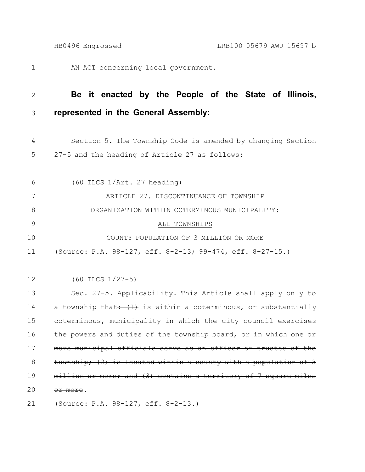AN ACT concerning local government. 1

## **Be it enacted by the People of the State of Illinois, represented in the General Assembly:** 2 3

- Section 5. The Township Code is amended by changing Section 27-5 and the heading of Article 27 as follows: 4 5
- (60 ILCS 1/Art. 27 heading) ARTICLE 27. DISCONTINUANCE OF TOWNSHIP ORGANIZATION WITHIN COTERMINOUS MUNICIPALITY: ALL TOWNSHIPS COUNTY POPULATION OF 3 MILLION OR MORE 6 7 8 9 10
- (Source: P.A. 98-127, eff. 8-2-13; 99-474, eff. 8-27-15.) 11
- (60 ILCS 1/27-5) 12

Sec. 27-5. Applicability. This Article shall apply only to a township that:  $(1)$  is within a coterminous, or substantially coterminous, municipality in which the city council exercises the powers and duties of the township board, municipal officials serve as an officer township; (2) is located within a county with a population of 3 million or more; and (3) contains a territory of 7 square miles or more. 13 14 15 16 17 18 19 20

(Source: P.A. 98-127, eff. 8-2-13.) 21